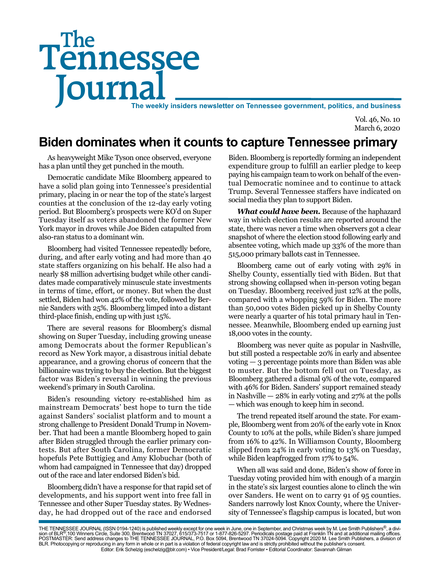# Tennessee **Journal** The weekly insiders newsletter on Tennessee government, politics, and business The

Vol. 46, No. 10 March 6, 2020

# **Biden dominates when it counts to capture Tennessee primary**

As heavyweight Mike Tyson once observed, everyone has a plan until they get punched in the mouth.

Democratic candidate Mike Bloomberg appeared to have a solid plan going into Tennessee's presidential primary, placing in or near the top of the state's largest counties at the conclusion of the 12-day early voting period. But Bloomberg's prospects were KO'd on Super Tuesday itself as voters abandoned the former New York mayor in droves while Joe Biden catapulted from also-ran status to a dominant win.

Bloomberg had visited Tennessee repeatedly before, during, and after early voting and had more than 40 state staffers organizing on his behalf. He also had a nearly \$8 million advertising budget while other candidates made comparatively minuscule state investments in terms of time, effort, or money. But when the dust settled, Biden had won 42% of the vote, followed by Bernie Sanders with 25%. Bloomberg limped into a distant third-place finish, ending up with just 15%.

There are several reasons for Bloomberg's dismal showing on Super Tuesday, including growing unease among Democrats about the former Republican's record as New York mayor, a disastrous initial debate appearance, and a growing chorus of concern that the billionaire was trying to buy the election. But the biggest factor was Biden's reversal in winning the previous weekend's primary in South Carolina.

Biden's resounding victory re-established him as mainstream Democrats' best hope to turn the tide against Sanders' socialist platform and to mount a strong challenge to President Donald Trump in November. That had been a mantle Bloomberg hoped to gain after Biden struggled through the earlier primary contests. But after South Carolina, former Democratic hopefuls Pete Buttigieg and Amy Klobuchar (both of whom had campaigned in Tennessee that day) dropped out of the race and later endorsed Biden's bid.

Bloomberg didn't have a response for that rapid set of developments, and his support went into free fall in Tennessee and other Super Tuesday states. By Wednesday, he had dropped out of the race and endorsed

Biden. Bloomberg is reportedly forming an independent expenditure group to fulfill an earlier pledge to keep paying his campaign team to work on behalf of the eventual Democratic nominee and to continue to attack Trump. Several Tennessee staffers have indicated on social media they plan to support Biden.

*What could have been.* Because of the haphazard way in which election results are reported around the state, there was never a time when observers got a clear snapshot of where the election stood following early and absentee voting, which made up 33% of the more than 515,000 primary ballots cast in Tennessee.

Bloomberg came out of early voting with 29% in Shelby County, essentially tied with Biden. But that strong showing collapsed when in-person voting began on Tuesday. Bloomberg received just 12% at the polls, compared with a whopping 59% for Biden. The more than 50,000 votes Biden picked up in Shelby County were nearly a quarter of his total primary haul in Tennessee. Meanwhile, Bloomberg ended up earning just 18,000 votes in the county.

Bloomberg was never quite as popular in Nashville, but still posted a respectable 20% in early and absentee voting — 3 percentage points more than Biden was able to muster. But the bottom fell out on Tuesday, as Bloomberg gathered a dismal 9% of the vote, compared with 46% for Biden. Sanders' support remained steady in Nashville — 28% in early voting and 27% at the polls — which was enough to keep him in second.

The trend repeated itself around the state. For example, Bloomberg went from 20% of the early vote in Knox County to 10% at the polls, while Biden's share jumped from 16% to 42%. In Williamson County, Bloomberg slipped from 24% in early voting to 13% on Tuesday, while Biden leapfrogged from 17% to 54%.

When all was said and done, Biden's show of force in Tuesday voting provided him with enough of a margin in the state's six largest counties alone to clinch the win over Sanders. He went on to carry 91 of 95 counties. Sanders narrowly lost Knox County, where the University of Tennessee's flagship campus is located, but won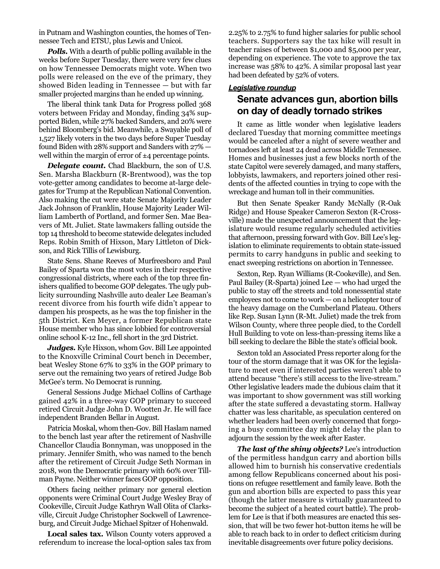in Putnam and Washington counties, the homes of Tennessee Tech and ETSU, plus Lewis and Unicoi.

*Polls.* With a dearth of public polling available in the weeks before Super Tuesday, there were very few clues on how Tennessee Democrats might vote. When two polls were released on the eve of the primary, they showed Biden leading in Tennessee — but with far smaller projected margins than he ended up winning.

The liberal think tank Data for Progress polled 368 voters between Friday and Monday, finding 34% supported Biden, while 27% backed Sanders, and 20% were behind Bloomberg's bid. Meanwhile, a Swayable poll of 1,527 likely voters in the two days before Super Tuesday found Biden with 28% support and Sanders with 27% well within the margin of error of  $\pm 4$  percentage points.

**Delegate count.** Chad Blackburn, the son of U.S. Sen. Marsha Blackburn (R-Brentwood), was the top vote-getter among candidates to become at-large delegates for Trump at the Republican National Convention. Also making the cut were state Senate Majority Leader Jack Johnson of Franklin, House Majority Leader William Lamberth of Portland, and former Sen. Mae Beavers of Mt. Juliet. State lawmakers falling outside the top 14 threshold to become statewide delegates included Reps. Robin Smith of Hixson, Mary Littleton of Dickson, and Rick Tillis of Lewisburg.

State Sens. Shane Reeves of Murfreesboro and Paul Bailey of Sparta won the most votes in their respective congressional districts, where each of the top three finishers qualified to become GOP delegates. The ugly publicity surrounding Nashville auto dealer Lee Beaman's recent divorce from his fourth wife didn't appear to dampen his prospects, as he was the top finisher in the 5th District. Ken Meyer, a former Republican state House member who has since lobbied for controversial online school K-12 Inc., fell short in the 3rd District.

Judges. Kyle Hixson, whom Gov. Bill Lee appointed to the Knoxville Criminal Court bench in December, beat Wesley Stone 67% to 33% in the GOP primary to serve out the remaining two years of retired Judge Bob McGee's term. No Democrat is running.

General Sessions Judge Michael Collins of Carthage gained 42% in a three-way GOP primary to succeed retired Circuit Judge John D. Wootten Jr. He will face independent Branden Bellar in August.

Patricia Moskal, whom then-Gov. Bill Haslam named to the bench last year after the retirement of Nashville Chancellor Claudia Bonnyman, was unopposed in the primary. Jennifer Smith, who was named to the bench after the retirement of Circuit Judge Seth Norman in 2018, won the Democratic primary with 60% over Tillman Payne. Neither winner faces GOP opposition.

Others facing neither primary nor general election opponents were Criminal Court Judge Wesley Bray of Cookeville, Circuit Judge Kathryn Wall Olita of Clarksville, Circuit Judge Christopher Sockwell of Lawrenceburg, and Circuit Judge Michael Spitzer of Hohenwald.

**Local sales tax.** Wilson County voters approved a referendum to increase the local-option sales tax from

2.25% to 2.75% to fund higher salaries for public school teachers. Supporters say the tax hike will result in teacher raises of between \$1,000 and \$5,000 per year, depending on experience. The vote to approve the tax increase was 58% to 42%. A similar proposal last year had been defeated by 52% of voters.

#### *Legislative roundup*

### **Senate advances gun, abortion bills on day of deadly tornado strikes**

It came as little wonder when legislative leaders declared Tuesday that morning committee meetings would be canceled after a night of severe weather and tornadoes left at least 24 dead across Middle Tennessee. Homes and businesses just a few blocks north of the state Capitol were severely damaged, and many staffers, lobbyists, lawmakers, and reporters joined other residents of the affected counties in trying to cope with the wreckage and human toll in their communities.

But then Senate Speaker Randy McNally (R-Oak Ridge) and House Speaker Cameron Sexton (R-Crossville) made the unexpected announcement that the legislature would resume regularly scheduled activities that afternoon, pressing forward with Gov. Bill Lee's legislation to eliminate requirements to obtain state-issued permits to carry handguns in public and seeking to enact sweeping restrictions on abortion in Tennessee.

Sexton, Rep. Ryan Williams (R-Cookeville), and Sen. Paul Bailey (R-Sparta) joined Lee — who had urged the public to stay off the streets and told nonessential state employees not to come to work — on a helicopter tour of the heavy damage on the Cumberland Plateau. Others like Rep. Susan Lynn (R-Mt. Juliet) made the trek from Wilson County, where three people died, to the Cordell Hull Building to vote on less-than-pressing items like a bill seeking to declare the Bible the state's official book.

Sexton told an Associated Press reporter along for the tour of the storm damage that it was OK for the legislature to meet even if interested parties weren't able to attend because "there's still access to the live-stream." Other legislative leaders made the dubious claim that it was important to show government was still working after the state suffered a devastating storm. Hallway chatter was less charitable, as speculation centered on whether leaders had been overly concerned that forgoing a busy committee day might delay the plan to adjourn the session by the week after Easter.

*The last of the shiny objects?* Lee's introduction of the permitless handgun carry and abortion bills allowed him to burnish his conservative credentials among fellow Republicans concerned about his positions on refugee resettlement and family leave. Both the gun and abortion bills are expected to pass this year (though the latter measure is virtually guaranteed to become the subject of a heated court battle). The problem for Lee is that if both measures are enacted this session, that will be two fewer hot-button items he will be able to reach back to in order to deflect criticism during inevitable disagreements over future policy decisions.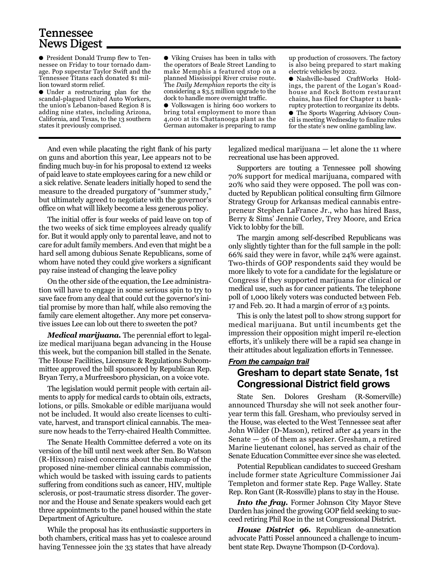## Tennessee News Digest

● President Donald Trump flew to Tennessee on Friday to tour tornado damage. Pop superstar Taylor Swift and the Tennessee Titans each donated \$1 million toward storm relief.

● Under a restructuring plan for the scandal-plagued United Auto Workers, the union's Lebanon-based Region 8 is adding nine states, including Arizona, California, and Texas, to the 13 southern states it previously comprised.

● Viking Cruises has been in talks with the operators of Beale Street Landing to make Memphis a featured stop on a planned Mississippi River cruise route. The *Daily Memphian* reports the city is considering a \$3.5 million upgrade to the dock to handle more overnight traffic.

● Volkswagen is hiring 600 workers to bring total employment to more than 4,000 at its Chattanooga plant as the German automaker is preparing to ramp

up production of crossovers. The factory is also being prepared to start making electric vehicles by 2022.

● Nashville-based CraftWorks Holdings, the parent of the Logan's Roadhouse and Rock Bottom restaurant chains, has filed for Chapter 11 bankruptcy protection to reorganize its debts. ● The Sports Wagering Advisory Council is meeting Wednesday to finalize rules for the state's new online gambling law.

And even while placating the right flank of his party on guns and abortion this year, Lee appears not to be finding much buy-in for his proposal to extend 12 weeks of paid leave to state employees caring for a new child or a sick relative. Senate leaders initially hoped to send the measure to the dreaded purgatory of "summer study," but ultimately agreed to negotiate with the governor's office on what will likely become a less generous policy.

The initial offer is four weeks of paid leave on top of the two weeks of sick time employees already qualify for. But it would apply only to parental leave, and not to care for adult family members. And even that might be a hard sell among dubious Senate Republicans, some of whom have noted they could give workers a significant pay raise instead of changing the leave policy

On the other side of the equation, the Lee administration will have to engage in some serious spin to try to save face from any deal that could cut the governor's initial promise by more than half, while also removing the family care element altogether. Any more pet conservative issues Lee can lob out there to sweeten the pot?

*Medical marijuana.* The perennial effort to legalize medical marijuana began advancing in the House this week, but the companion bill stalled in the Senate. The House Facilities, Licensure & Regulations Subcommittee approved the bill sponsored by Republican Rep. Bryan Terry, a Murfreesboro physician, on a voice vote.

The legislation would permit people with certain ailments to apply for medical cards to obtain oils, extracts, lotions, or pills. Smokable or edible marijuana would not be included. It would also create licenses to cultivate, harvest, and transport clinical cannabis. The measure now heads to the Terry-chaired Health Committee.

The Senate Health Committee deferred a vote on its version of the bill until next week after Sen. Bo Watson (R-Hixson) raised concerns about the makeup of the proposed nine-member clinical cannabis commission, which would be tasked with issuing cards to patients suffering from conditions such as cancer, HIV, multiple sclerosis, or post-traumatic stress disorder. The governor and the House and Senate speakers would each get three appointments to the panel housed within the state Department of Agriculture.

While the proposal has its enthusiastic supporters in both chambers, critical mass has yet to coalesce around having Tennessee join the 33 states that have already legalized medical marijuana — let alone the 11 where recreational use has been approved.

Supporters are touting a Tennessee poll showing 70% support for medical marijuana, compared with 20% who said they were opposed. The poll was conducted by Republican political consulting firm Gilmore Strategy Group for Arkansas medical cannabis entrepreneur Stephen LaFrance Jr., who has hired Bass, Berry & Sims' Jennie Corley, Trey Moore, and Erica Vick to lobby for the bill.

The margin among self-described Republicans was only slightly tighter than for the full sample in the poll: 66% said they were in favor, while 24% were against. Two-thirds of GOP respondents said they would be more likely to vote for a candidate for the legislature or Congress if they supported marijuana for clinical or medical use, such as for cancer patients. The telephone poll of 1,000 likely voters was conducted between Feb. 17 and Feb. 20. It had a margin of error of  $\pm$ 3 points.

This is only the latest poll to show strong support for medical marijuana. But until incumbents get the impression their opposition might imperil re-election efforts, it's unlikely there will be a rapid sea change in their attitudes about legalization efforts in Tennessee.

#### *From the campaign trail*

### **Gresham to depart state Senate, 1st Congressional District field grows**

State Sen. Dolores Gresham (R-Somerville) announced Thursday she will not seek another fouryear term this fall. Gresham, who previoulsy served in the House, was elected to the West Tennessee seat after John Wilder (D-Mason), retired after 44 years in the Senate — 36 of them as speaker. Gresham, a retired Marine lieutenant colonel, has served as chair of the Senate Education Committee ever since she was elected.

Potential Republican candidates to succeed Gresham include former state Agriculture Commissioner Jai Templeton and former state Rep. Page Walley. State Rep. Ron Gant (R-Rossville) plans to stay in the House.

*Into the fray.* Former Johnson City Mayor Steve Darden has joined the growing GOP field seeking to succeed retiring Phil Roe in the 1st Congressional District.

*House District 96.* Republican de-annexation advocate Patti Possel announced a challenge to incumbent state Rep. Dwayne Thompson (D-Cordova).